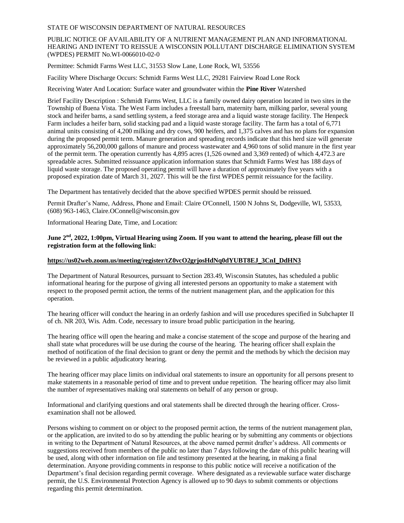### STATE OF WISCONSIN DEPARTMENT OF NATURAL RESOURCES

## PUBLIC NOTICE OF AVAILABILITY OF A NUTRIENT MANAGEMENT PLAN AND INFORMATIONAL HEARING AND INTENT TO REISSUE A WISCONSIN POLLUTANT DISCHARGE ELIMINATION SYSTEM (WPDES) PERMIT No.WI-0066010-02-0

Permittee: Schmidt Farms West LLC, 31553 Slow Lane, Lone Rock, WI, 53556

Facility Where Discharge Occurs: Schmidt Farms West LLC, 29281 Fairview Road Lone Rock

Receiving Water And Location: Surface water and groundwater within the **Pine River** Watershed

Brief Facility Description : Schmidt Farms West, LLC is a family owned dairy operation located in two sites in the Township of Buena Vista. The West Farm includes a freestall barn, maternity barn, milking parlor, several young stock and heifer barns, a sand settling system, a feed storage area and a liquid waste storage facility. The Henpeck Farm includes a heifer barn, solid stacking pad and a liquid waste storage facility. The farm has a total of 6,771 animal units consisting of 4,200 milking and dry cows, 900 heifers, and 1,375 calves and has no plans for expansion during the proposed permit term. Manure generation and spreading records indicate that this herd size will generate approximately 56,200,000 gallons of manure and process wastewater and 4,960 tons of solid manure in the first year of the permit term. The operation currently has 4,895 acres (1,526 owned and 3,369 rented) of which 4,472.3 are spreadable acres. Submitted reissuance application information states that Schmidt Farms West has 188 days of liquid waste storage. The proposed operating permit will have a duration of approximately five years with a proposed expiration date of March 31, 2027. This will be the first WPDES permit reissuance for the facility.

The Department has tentatively decided that the above specified WPDES permit should be reissued.

Permit Drafter's Name, Address, Phone and Email: Claire O'Connell, 1500 N Johns St, Dodgeville, WI, 53533, (608) 963-1463, Claire.OConnell@wisconsin.gov

Informational Hearing Date, Time, and Location:

## **June 2nd, 2022, 1:00pm, Virtual Hearing using Zoom. If you want to attend the hearing, please fill out the registration form at the following link:**

# **[https://us02web.zoom.us/meeting/register/tZ0vcO2grjosHdNq0dYUBT8EJ\\_3CnI\\_DdHN3](https://us02web.zoom.us/meeting/register/tZ0vcO2grjosHdNq0dYUBT8EJ_3CnI_DdHN3)**

The Department of Natural Resources, pursuant to Section 283.49, Wisconsin Statutes, has scheduled a public informational hearing for the purpose of giving all interested persons an opportunity to make a statement with respect to the proposed permit action, the terms of the nutrient management plan, and the application for this operation.

The hearing officer will conduct the hearing in an orderly fashion and will use procedures specified in Subchapter II of ch. NR 203, Wis. Adm. Code, necessary to insure broad public participation in the hearing.

The hearing office will open the hearing and make a concise statement of the scope and purpose of the hearing and shall state what procedures will be use during the course of the hearing. The hearing officer shall explain the method of notification of the final decision to grant or deny the permit and the methods by which the decision may be reviewed in a public adjudicatory hearing.

The hearing officer may place limits on individual oral statements to insure an opportunity for all persons present to make statements in a reasonable period of time and to prevent undue repetition. The hearing officer may also limit the number of representatives making oral statements on behalf of any person or group.

Informational and clarifying questions and oral statements shall be directed through the hearing officer. Crossexamination shall not be allowed.

Persons wishing to comment on or object to the proposed permit action, the terms of the nutrient management plan, or the application, are invited to do so by attending the public hearing or by submitting any comments or objections in writing to the Department of Natural Resources, at the above named permit drafter's address. All comments or suggestions received from members of the public no later than 7 days following the date of this public hearing will be used, along with other information on file and testimony presented at the hearing, in making a final determination. Anyone providing comments in response to this public notice will receive a notification of the Department's final decision regarding permit coverage. Where designated as a reviewable surface water discharge permit, the U.S. Environmental Protection Agency is allowed up to 90 days to submit comments or objections regarding this permit determination.